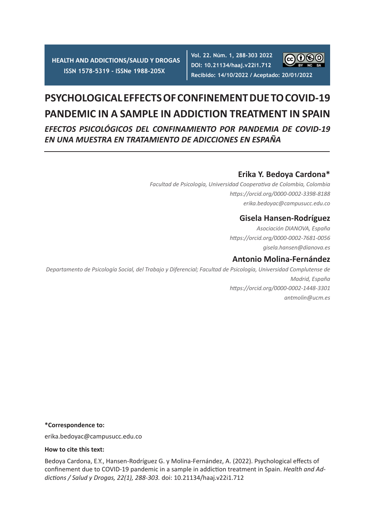**Vol. 22. Núm. 1, 288-303 2022 HEALTH AND ADDICTIONS/SALUD Y DROGAS**

രരെ

**Recibido: 14/10/2022 / Aceptado: 20/01/2022 ISSN 1578-5319 - ISSNe 1988-205X**

**DOI: 10.21134/haaj.v22i1.712**

# **PSYCHOLOGICAL EFFECTS OF CONFINEMENT DUE TO COVID-19 PANDEMIC IN A SAMPLE IN ADDICTION TREATMENT IN SPAIN** *EFECTOS PSICOLÓGICOS DEL CONFINAMIENTO POR PANDEMIA DE COVID-19*

*EN UNA MUESTRA EN TRATAMIENTO DE ADICCIONES EN ESPAÑA*

# **Erika Y. Bedoya Cardona\***

*Facultad de Psicología, Universidad Cooperativa de Colombia, Colombia https://orcid.org/0000-0002-3398-8188 erika.bedoyac@campusucc.edu.co*

# **Gisela Hansen-Rodríguez**

*Asociación DIANOVA, España https://orcid.org/0000-0002-7681-0056 gisela.hansen@dianova.es*

# **Antonio Molina-Fernández**

*Departamento de Psicología Social, del Trabajo y Diferencial; Facultad de Psicología, Universidad Complutense de Madrid, España https://orcid.org/0000-0002-1448-3301 antmolin@ucm.es*

# **\*Correspondence to:**

erika.bedoyac@campusucc.edu.co

## **How to cite this text:**

Bedoya Cardona, E.Y., Hansen-Rodríguez G. y Molina-Fernández, A. (2022). Psychological effects of confinement due to COVID-19 pandemic in a sample in addiction treatment in Spain. *Health and Addictions / Salud y Drogas, 22(1), 288-303.* doi: 10.21134/haaj.v22i1.712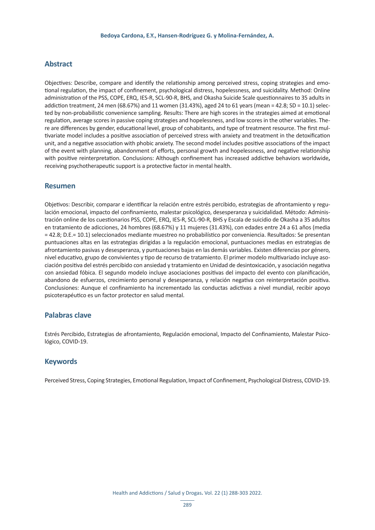# **Abstract**

Objectives: Describe, compare and identify the relationship among perceived stress, coping strategies and emotional regulation, the impact of confinement, psychological distress, hopelessness, and suicidality. Method: Online administration of the PSS, COPE, ERQ, IES-R, SCL-90-R, BHS, and Okasha Suicide Scale questionnaires to 35 adults in addiction treatment, 24 men (68.67%) and 11 women (31.43%), aged 24 to 61 years (mean = 42.8; SD = 10.1) selected by non-probabilistic convenience sampling. Results: There are high scores in the strategies aimed at emotional regulation, average scores in passive coping strategies and hopelessness, and low scores in the other variables. There are differences by gender, educational level, group of cohabitants, and type of treatment resource. The first multivariate model includes a positive association of perceived stress with anxiety and treatment in the detoxification unit, and a negative association with phobic anxiety. The second model includes positive associations of the impact of the event with planning, abandonment of efforts, personal growth and hopelessness, and negative relationship with positive reinterpretation. Conclusions: Although confinement has increased addictive behaviors worldwide**,** receiving psychotherapeutic support is a protective factor in mental health.

# **Resumen**

Objetivos: Describir, comparar e identificar la relación entre estrés percibido, estrategias de afrontamiento y regulación emocional, impacto del confinamiento, malestar psicológico, desesperanza y suicidalidad. Método: Administración online de los cuestionarios PSS, COPE, ERQ, IES-R, SCL-90-R, BHS y Escala de suicidio de Okasha a 35 adultos en tratamiento de adicciones, 24 hombres (68.67%) y 11 mujeres (31.43%), con edades entre 24 a 61 años (media = 42.8; D.E.= 10.1) seleccionados mediante muestreo no probabilístico por conveniencia. Resultados: Se presentan puntuaciones altas en las estrategias dirigidas a la regulación emocional, puntuaciones medias en estrategias de afrontamiento pasivas y desesperanza, y puntuaciones bajas en las demás variables. Existen diferencias por género, nivel educativo, grupo de convivientes y tipo de recurso de tratamiento. El primer modelo multivariado incluye asociación positiva del estrés percibido con ansiedad y tratamiento en Unidad de desintoxicación, y asociación negativa con ansiedad fóbica. El segundo modelo incluye asociaciones positivas del impacto del evento con planificación, abandono de esfuerzos, crecimiento personal y desesperanza, y relación negativa con reinterpretación positiva. Conclusiones: Aunque el confinamiento ha incrementado las conductas adictivas a nivel mundial, recibir apoyo psicoterapéutico es un factor protector en salud mental.

# **Palabras clave**

Estrés Percibido, Estrategias de afrontamiento, Regulación emocional, Impacto del Confinamiento, Malestar Psicológico, COVID-19.

# **Keywords**

Perceived Stress, Coping Strategies, Emotional Regulation, Impact of Confinement, Psychological Distress, COVID-19.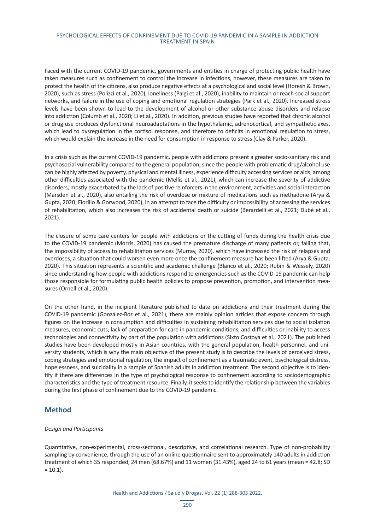Faced with the current COVID-19 pandemic, governments and entities in charge of protecting public health have taken measures such as confinement to control the increase in infections, however, these measures are taken to protect the health of the citizens, also produce negative effects at a psychological and social level (Horesh & Brown, 2020), such as stress (Polizzi et al., 2020), loneliness (Palgi et al., 2020), inability to maintain or reach social support networks, and failure in the use of coping and emotional regulation strategies (Park et al., 2020). Increased stress levels have been shown to lead to the development of alcohol or other substance abuse disorders and relapse into addiction (Columb et al., 2020; Li et al., 2020). In addition, previous studies have reported that chronic alcohol or drug use produces dysfunctional neuroadaptations in the hypothalamic, adrenocortical, and sympathetic axes, which lead to dysregulation in the cortisol response, and therefore to deficits in emotional regulation to stress, which would explain the increase in the need for consumption in response to stress (Clay & Parker, 2020).

In a crisis such as the current COVID-19 pandemic, people with addictions present a greater socio-sanitary risk and psychosocial vulnerability compared to the general population, since the people with problematic drug/alcohol use can be highly affected by poverty, physical and mental illness, experience difficulty accessing services or aids, among other difficulties associated with the pandemic (Mellis et al., 2021), which can increase the severity of addictive disorders, mostly exacerbated by the lack of positive reinforcers in the environment, activities and social interaction (Marsden et al., 2020), also entailing the risk of overdose or mixture of medications such as methadone (Arya & Gupta, 2020; Fiorillo & Gorwood, 2020), in an attempt to face the difficulty or impossibility of accessing the services of rehabilitation, which also increases the risk of accidental death or suicide (Berardelli et al., 2021; Dubè et al., 2021).

The closure of some care centers for people with addictions or the cutting of funds during the health crisis due to the COVID-19 pandemic (Morris, 2020) has caused the premature discharge of many patients or, failing that, the impossibility of access to rehabilitation services (Murray, 2020), which have increased the risk of relapses and overdoses, a situation that could worsen even more once the confinement measure has been lifted (Arya & Gupta, 2020). This situation represents a scientific and academic challenge (Blanco et al., 2020; Rubin & Wessely, 2020) since understanding how people with addictions respond to emergencies such as the COVID-19 pandemic can help those responsible for formulating public health policies to propose prevention, promotion, and intervention measures (Ornell et al., 2020).

On the other hand, in the incipient literature published to date on addictions and their treatment during the COVID-19 pandemic (González-Roz et al., 2021), there are mainly opinion articles that expose concern through figures on the increase in consumption and difficulties in sustaining rehabilitation services due to social isolation measures, economic cuts, lack of preparation for care in pandemic conditions, and difficulties or inability to access technologies and connectivity by part of the population with addictions (Sixto Costoya et al., 2021). The published studies have been developed mostly in Asian countries, with the general population, health personnel, and university students, which is why the main objective of the present study is to describe the levels of perceived stress, coping strategies and emotional regulation, the impact of confinement as a traumatic event, psychological distress, hopelessness, and suicidality in a sample of Spanish adults in addiction treatment. The second objective is to identify if there are differences in the type of psychological response to confinement according to sociodemographic characteristics and the type of treatment resource. Finally, it seeks to identify the relationship between the variables during the first phase of confinement due to the COVID-19 pandemic.

# **Method**

## *Design and Participants*

Quantitative, non-experimental, cross-sectional, descriptive, and correlational research. Type of non-probability sampling by convenience, through the use of an online questionnaire sent to approximately 140 adults in addiction treatment of which 35 responded, 24 men (68.67%) and 11 women (31.43%), aged 24 to 61 years (mean = 42.8; SD  $= 10.1$ ).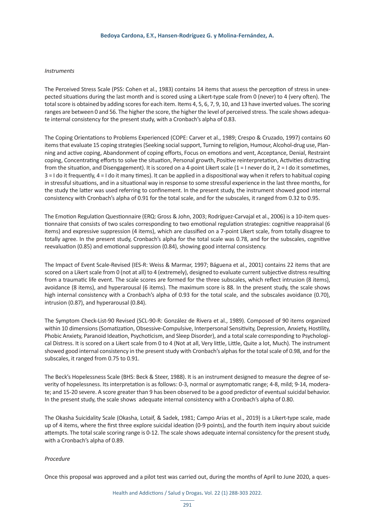#### *Instruments*

The Perceived Stress Scale (PSS: Cohen et al., 1983) contains 14 items that assess the perception of stress in unexpected situations during the last month and is scored using a Likert-type scale from 0 (never) to 4 (very often). The total score is obtained by adding scores for each item. Items 4, 5, 6, 7, 9, 10, and 13 have inverted values. The scoring ranges are between 0 and 56. The higher the score, the higher the level of perceived stress. The scale shows adequate internal consistency for the present study, with a Cronbach's alpha of 0.83.

The Coping Orientations to Problems Experienced (COPE: Carver et al., 1989; Crespo & Cruzado, 1997) contains 60 items that evaluate 15 coping strategies (Seeking social support, Turning to religion, Humour, Alcohol-drug use, Planning and active coping, Abandonment of coping efforts, Focus on emotions and vent, Acceptance, Denial, Restraint coping, Concentrating efforts to solve the situation, Personal growth, Positive reinterpretation, Activities distracting from the situation, and Disengagement). It is scored on a 4-point Likert scale (1 = I never do it, 2 = I do it sometimes, 3 = I do it frequently, 4 = I do it many times). It can be applied in a dispositional way when it refers to habitual coping in stressful situations, and in a situational way in response to some stressful experience in the last three months, for the study the latter was used referring to confinement. In the present study, the instrument showed good internal consistency with Cronbach's alpha of 0.91 for the total scale, and for the subscales, it ranged from 0.32 to 0.95.

The Emotion Regulation Questionnaire (ERQ: Gross & John, 2003; Rodríguez-Carvajal et al., 2006) is a 10-item questionnaire that consists of two scales corresponding to two emotional regulation strategies: cognitive reappraisal (6 items) and expressive suppression (4 items), which are classified on a 7-point Likert scale, from totally disagree to totally agree. In the present study, Cronbach's alpha for the total scale was 0.78, and for the subscales, cognitive reevaluation (0.85) and emotional suppression (0.84), showing good internal consistency.

The Impact of Event Scale-Revised (IES-R: Weiss & Marmar, 1997; Báguena et al., 2001) contains 22 items that are scored on a Likert scale from 0 (not at all) to 4 (extremely), designed to evaluate current subjective distress resulting from a traumatic life event. The scale scores are formed for the three subscales, which reflect intrusion (8 items), avoidance (8 items), and hyperarousal (6 items). The maximum score is 88. In the present study, the scale shows high internal consistency with a Cronbach's alpha of 0.93 for the total scale, and the subscales avoidance (0.70), intrusion (0.87), and hyperarousal (0.84).

The Symptom Check-List-90 Revised (SCL-90-R: González de Rivera et al., 1989). Composed of 90 items organized within 10 dimensions (Somatization, Obsessive-Compulsive, Interpersonal Sensitivity, Depression, Anxiety, Hostility, Phobic Anxiety, Paranoid Ideation, Psychoticism, and Sleep Disorder), and a total scale corresponding to Psychological Distress. It is scored on a Likert scale from 0 to 4 (Not at all, Very little, Little, Quite a lot, Much). The instrument showed good internal consistency in the present study with Cronbach's alphas for the total scale of 0.98, and for the subscales, it ranged from 0.75 to 0.91.

The Beck's Hopelessness Scale (BHS: Beck & Steer, 1988). It is an instrument designed to measure the degree of severity of hopelessness. Its interpretation is as follows: 0-3, normal or asymptomatic range; 4-8, mild; 9-14, moderate; and 15-20 severe. A score greater than 9 has been observed to be a good predictor of eventual suicidal behavior. In the present study, the scale shows adequate internal consistency with a Cronbach's alpha of 0.80.

The Okasha Suicidality Scale (Okasha, Lotaif, & Sadek, 1981; Campo Arias et al., 2019) is a Likert-type scale, made up of 4 items, where the first three explore suicidal ideation (0-9 points), and the fourth item inquiry about suicide attempts. The total scale scoring range is 0-12. The scale shows adequate internal consistency for the present study, with a Cronbach's alpha of 0.89.

## *Procedure*

Once this proposal was approved and a pilot test was carried out, during the months of April to June 2020, a ques-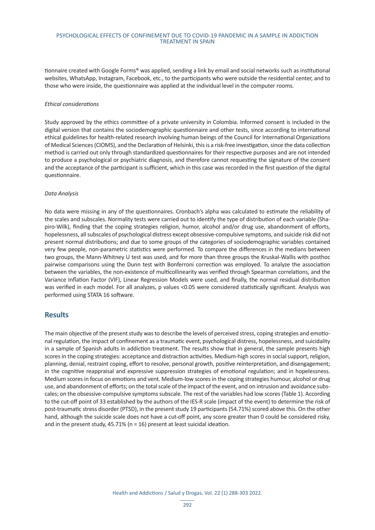tionnaire created with Google Forms® was applied, sending a link by email and social networks such as institutional websites, WhatsApp, Instagram, Facebook, etc., to the participants who were outside the residential center, and to those who were inside, the questionnaire was applied at the individual level in the computer rooms.

#### *Ethical considerations*

Study approved by the ethics committee of a private university in Colombia. Informed consent is included in the digital version that contains the sociodemographic questionnaire and other tests, since according to international ethical guidelines for health-related research involving human beings of the Council for International Organizations of Medical Sciences (CIOMS), and the Declaration of Helsinki, this is a risk-free investigation, since the data collection method is carried out only through standardized questionnaires for their respective purposes and are not intended to produce a psychological or psychiatric diagnosis, and therefore cannot requesting the signature of the consent and the acceptance of the participant is sufficient, which in this case was recorded in the first question of the digital questionnaire.

#### *Data Analysis*

No data were missing in any of the questionnaires. Cronbach's alpha was calculated to estimate the reliability of the scales and subscales. Normality tests were carried out to identify the type of distribution of each variable (Shapiro-Wilk), finding that the coping strategies religion, humor, alcohol and/or drug use, abandonment of efforts, hopelessness, all subscales of psychological distress except obsessive-compulsive symptoms, and suicide risk did not present normal distributions; and due to some groups of the categories of sociodemographic variables contained very few people, non-parametric statistics were performed. To compare the differences in the medians between two groups, the Mann-Whitney U test was used, and for more than three groups the Kruskal-Wallis with posthoc pairwise comparisons using the Dunn test with Bonferroni correction was employed. To analyze the association between the variables, the non-existence of multicollinearity was verified through Spearman correlations, and the Variance Inflation Factor (VIF), Linear Regression Models were used, and finally, the normal residual distribution was verified in each model. For all analyzes, p values <0.05 were considered statistically significant. Analysis was performed using STATA 16 software.

## **Results**

The main objective of the present study was to describe the levels of perceived stress, coping strategies and emotional regulation, the impact of confinement as a traumatic event, psychological distress, hopelessness, and suicidality in a sample of Spanish adults in addiction treatment. The results show that in general, the sample presents high scores in the coping strategies: acceptance and distraction activities. Medium-high scores in social support, religion, planning, denial, restraint coping, effort to resolve, personal growth, positive reinterpretation, and disengagement; in the cognitive reappraisal and expressive suppression strategies of emotional regulation; and in hopelessness. Medium scores in focus on emotions and vent. Medium-low scores in the coping strategies humour, alcohol or drug use, and abandonment of efforts; on the total scale of the impact of the event, and on intrusion and avoidance subscales; on the obsessive-compulsive symptoms subscale. The rest of the variables had low scores (Table 1). According to the cut-off point of 33 established by the authors of the IES-R scale (impact of the event) to determine the risk of post-traumatic stress disorder (PTSD), in the present study 19 participants (54.71%) scored above this. On the other hand, although the suicide scale does not have a cut-off point, any score greater than 0 could be considered risky, and in the present study, 45.71% (n = 16) present at least suicidal ideation.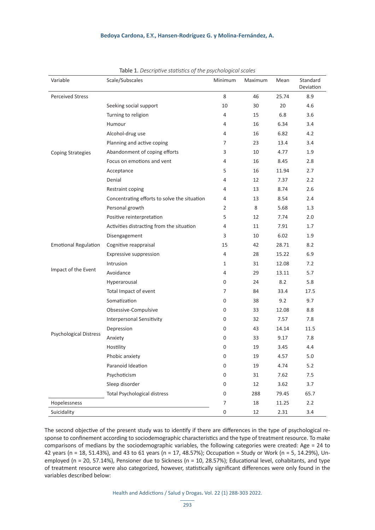| Variable                      | Scale/Subscales                              | Minimum        | Maximum                                                                                                                                                                                                                                                                                                                                                                        | Mean  | Standard<br>Deviation |
|-------------------------------|----------------------------------------------|----------------|--------------------------------------------------------------------------------------------------------------------------------------------------------------------------------------------------------------------------------------------------------------------------------------------------------------------------------------------------------------------------------|-------|-----------------------|
| <b>Perceived Stress</b>       |                                              | 8              | 46                                                                                                                                                                                                                                                                                                                                                                             | 25.74 | 8.9                   |
|                               | Seeking social support                       | 10             | 30                                                                                                                                                                                                                                                                                                                                                                             | 20    | 4.6                   |
|                               | Turning to religion                          | 4              | 15                                                                                                                                                                                                                                                                                                                                                                             | 6.8   | 3.6                   |
|                               | Humour                                       | 4              | 16                                                                                                                                                                                                                                                                                                                                                                             | 6.34  | 3.4                   |
|                               | Alcohol-drug use                             | 4              | 16                                                                                                                                                                                                                                                                                                                                                                             | 6.82  | 4.2                   |
|                               | Planning and active coping                   | 7              | 23                                                                                                                                                                                                                                                                                                                                                                             | 13.4  | 3.4                   |
| <b>Coping Strategies</b>      | Abandonment of coping efforts                | 3              | 10                                                                                                                                                                                                                                                                                                                                                                             | 4.77  | 1.9                   |
|                               | Focus on emotions and vent                   | 4              | 16<br>8.45<br>16<br>11.94<br>12<br>7.37<br>13<br>8.74<br>13<br>8.54<br>8<br>5.68<br>12<br>7.74<br>11<br>7.91<br>10<br>6.02<br>42<br>28.71<br>28<br>15.22<br>31<br>12.08<br>29<br>13.11<br>8.2<br>24<br>33.4<br>84<br>9.2<br>38<br>33<br>12.08<br>32<br>7.57<br>43<br>14.14<br>33<br>9.17<br>19<br>3.45<br>19<br>4.57<br>19<br>4.74<br>31<br>7.62<br>12<br>3.62<br>288<br>79.45 | 2.8   |                       |
|                               | Acceptance                                   | 5              |                                                                                                                                                                                                                                                                                                                                                                                |       | 2.7                   |
|                               | Denial                                       | 4              |                                                                                                                                                                                                                                                                                                                                                                                |       | 2.2                   |
|                               | Restraint coping                             | 4              |                                                                                                                                                                                                                                                                                                                                                                                |       | 2.6                   |
|                               | Concentrating efforts to solve the situation | 4              |                                                                                                                                                                                                                                                                                                                                                                                |       | 2.4                   |
|                               | Personal growth                              | $\overline{2}$ |                                                                                                                                                                                                                                                                                                                                                                                |       | 1.3                   |
|                               | Positive reinterpretation                    | 5              |                                                                                                                                                                                                                                                                                                                                                                                |       | 2.0                   |
|                               | Activities distracting from the situation    | 4              |                                                                                                                                                                                                                                                                                                                                                                                |       | 1.7                   |
|                               | Disengagement                                | 3              |                                                                                                                                                                                                                                                                                                                                                                                |       | 1.9                   |
| <b>Emotional Regulation</b>   | Cognitive reappraisal                        | 15             |                                                                                                                                                                                                                                                                                                                                                                                |       | 8.2                   |
|                               | Expressive suppression                       | 4              |                                                                                                                                                                                                                                                                                                                                                                                |       | 6.9                   |
|                               | Intrusion                                    | $\mathbf{1}$   |                                                                                                                                                                                                                                                                                                                                                                                |       | 7.2                   |
| Impact of the Event           | Avoidance                                    | 4              |                                                                                                                                                                                                                                                                                                                                                                                |       | 5.7                   |
|                               | Hyperarousal                                 | 0              |                                                                                                                                                                                                                                                                                                                                                                                |       | 5.8                   |
|                               | Total Impact of event                        | 7              |                                                                                                                                                                                                                                                                                                                                                                                |       | 17.5                  |
|                               | Somatization                                 | 0              |                                                                                                                                                                                                                                                                                                                                                                                |       | 9.7                   |
|                               | Obsessive-Compulsive                         | 0              |                                                                                                                                                                                                                                                                                                                                                                                |       | 8.8                   |
|                               | <b>Interpersonal Sensitivity</b>             | 0              |                                                                                                                                                                                                                                                                                                                                                                                |       | 7.8                   |
|                               | Depression                                   | 0              |                                                                                                                                                                                                                                                                                                                                                                                |       | 11.5                  |
| <b>Psychological Distress</b> | Anxiety                                      | 0              |                                                                                                                                                                                                                                                                                                                                                                                |       | 7.8                   |
|                               | Hostility                                    | $\mathsf 0$    |                                                                                                                                                                                                                                                                                                                                                                                |       | 4.4                   |
|                               | Phobic anxiety                               | 0              |                                                                                                                                                                                                                                                                                                                                                                                |       | 5.0                   |
|                               | Paranoid Ideation                            | 0              |                                                                                                                                                                                                                                                                                                                                                                                |       | $5.2$                 |
|                               | Psychoticism                                 | 0              |                                                                                                                                                                                                                                                                                                                                                                                |       | 7.5                   |
|                               | Sleep disorder                               | 0              |                                                                                                                                                                                                                                                                                                                                                                                |       | 3.7                   |
|                               | <b>Total Psychological distress</b>          | 0              |                                                                                                                                                                                                                                                                                                                                                                                |       | 65.7                  |
| Hopelessness                  |                                              | $\overline{7}$ | 18                                                                                                                                                                                                                                                                                                                                                                             | 11.25 | 2.2                   |
| Suicidality                   |                                              | $\pmb{0}$      | 12                                                                                                                                                                                                                                                                                                                                                                             | 2.31  | 3.4                   |

Table 1. *Descriptive statistics of the psychological scales*

The second objective of the present study was to identify if there are differences in the type of psychological response to confinement according to sociodemographic characteristics and the type of treatment resource. To make comparisons of medians by the sociodemographic variables, the following categories were created: Age = 24 to 42 years (n = 18, 51.43%), and 43 to 61 years (n = 17, 48.57%); Occupation = Study or Work (n = 5, 14.29%), Unemployed (n = 20, 57.14%), Pensioner due to Sickness (n = 10, 28.57%); Educational level, cohabitants, and type of treatment resource were also categorized, however, statistically significant differences were only found in the variables described below: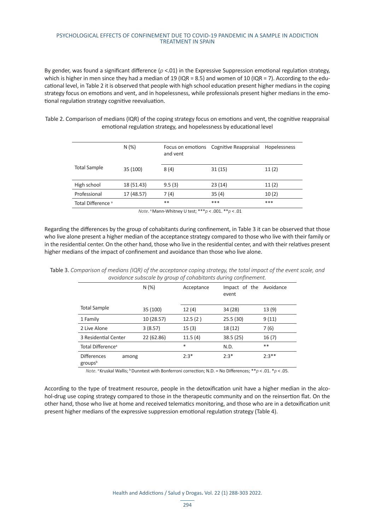By gender, was found a significant difference (*p* <.01) in the Expressive Suppression emotional regulation strategy, which is higher in men since they had a median of 19 (IQR = 8.5) and women of 10 (IQR = 7). According to the educational level, in Table 2 it is observed that people with high school education present higher medians in the coping strategy focus on emotions and vent, and in hopelessness, while professionals present higher medians in the emotional regulation strategy cognitive reevaluation.

Table 2. Comparison of medians (IQR) of the coping strategy focus on emotions and vent, the cognitive reappraisal emotional regulation strategy, and hopelessness by educational level

|                               | N(%)       | and vent | Focus on emotions Cognitive Reappraisal | Hopelessness |
|-------------------------------|------------|----------|-----------------------------------------|--------------|
| <b>Total Sample</b>           | 35 (100)   | 8(4)     | 31(15)                                  | 11(2)        |
| High school                   | 18 (51.43) | 9.5(3)   | 23(14)                                  | 11(2)        |
| Professional                  | 17 (48.57) | 7 (4)    | 35(4)                                   | 10(2)        |
| Total Difference <sup>a</sup> |            | **       | ***                                     | ***          |

 *Note*. a Mann-Whitney U test; \*\*\**p* < .001. \*\**p* < .01

Regarding the differences by the group of cohabitants during confinement, in Table 3 it can be observed that those who live alone present a higher median of the acceptance strategy compared to those who live with their family or in the residential center. On the other hand, those who live in the residential center, and with their relatives present higher medians of the impact of confinement and avoidance than those who live alone.

| Table 3. Comparison of medians (IQR) of the acceptance coping strategy, the total impact of the event scale, and |            |                         |  |
|------------------------------------------------------------------------------------------------------------------|------------|-------------------------|--|
| avoidance subscale by group of cohabitants during confinement.                                                   |            |                         |  |
| N(%                                                                                                              | Acceptance | Impact of the Avoidance |  |

|                                        | $\cdots$   | . . <del>.</del> | event    |         |
|----------------------------------------|------------|------------------|----------|---------|
| <b>Total Sample</b>                    | 35 (100)   | 12(4)            | 34 (28)  | 13(9)   |
| 1 Family                               | 10 (28.57) | 12.5(2)          | 25.5(30) | 9(11)   |
| 2 Live Alone                           | 3(8.57)    | 15(3)            | 18 (12)  | 7(6)    |
| 3 Residential Center                   | 22 (62.86) | 11.5(4)          | 38.5(25) | 16(7)   |
| Total Difference <sup>a</sup>          |            | $\ast$           | N.D.     | **      |
| <b>Differences</b><br>among<br>groupsb |            | $2:3*$           | $2:3*$   | $2:3**$ |

*Note*. <sup>a</sup> Kruskal Wallis; <sup>b</sup> Dunntest with Bonferroni correction; N.D. = No Differences; \*\**p* < .01. \**p* < .05.

According to the type of treatment resource, people in the detoxification unit have a higher median in the alcohol-drug use coping strategy compared to those in the therapeutic community and on the reinsertion flat. On the other hand, those who live at home and received telematics monitoring, and those who are in a detoxification unit present higher medians of the expressive suppression emotional regulation strategy (Table 4).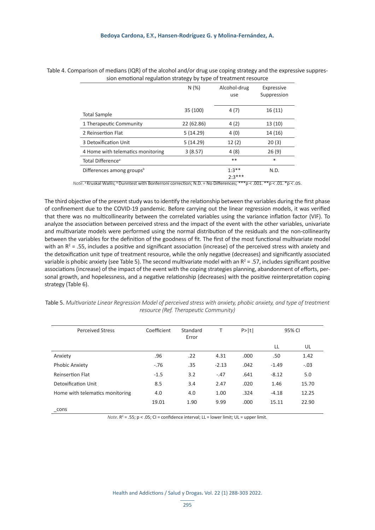|                                       | N(%)       | Alcohol-drug<br>use | Expressive<br>Suppression |
|---------------------------------------|------------|---------------------|---------------------------|
| <b>Total Sample</b>                   | 35 (100)   | 4(7)                | 16(11)                    |
| 1 Therapeutic Community               | 22 (62.86) | 4(2)                | 13 (10)                   |
| 2 Reinsertion Flat                    | 5(14.29)   | 4(0)                | 14 (16)                   |
| 3 Detoxification Unit                 | 5(14.29)   | 12(2)               | 20(3)                     |
| 4 Home with telematics monitoring     | 3(8.57)    | 4(8)                | 26(9)                     |
| Total Difference <sup>ª</sup>         |            | **                  | $\ast$                    |
| Differences among groups <sup>b</sup> |            | $1.3**$<br>$2:3***$ | N.D.                      |

| Table 4. Comparison of medians (IQR) of the alcohol and/or drug use coping strategy and the expressive suppres- |
|-----------------------------------------------------------------------------------------------------------------|
| sion emotional regulation strategy by type of treatment resource                                                |

*Note*. <sup>a</sup> Kruskal Wallis; <sup>b</sup> Dunntest with Bonferroni correction; N.D. = No Differences; \*\*\*p < .001. \*\*p < .01. \*p < .05.

The third objective of the present study was to identify the relationship between the variables during the first phase of confinement due to the COVID-19 pandemic. Before carrying out the linear regression models, it was verified that there was no multicollinearity between the correlated variables using the variance inflation factor (VIF). To analyze the association between perceived stress and the impact of the event with the other variables, univariate and multivariate models were performed using the normal distribution of the residuals and the non-collinearity between the variables for the definition of the goodness of fit. The first of the most functional multivariate model with an  $R^2$  = .55, includes a positive and significant association (increase) of the perceived stress with anxiety and the detoxification unit type of treatment resource, while the only negative (decreases) and significantly associated variable is phobic anxiety (see Table 5). The second multivariate model with an  $R^2$  = .57, includes significant positive associations (increase) of the impact of the event with the coping strategies planning, abandonment of efforts, personal growth, and hopelessness, and a negative relationship (decreases) with the positive reinterpretation coping strategy (Table 6).

| Table 5. Multivariate Linear Regression Model of perceived stress with anxiety, phobic anxiety, and type of treatment |                                       |  |  |
|-----------------------------------------------------------------------------------------------------------------------|---------------------------------------|--|--|
|                                                                                                                       | resource (Ref. Therapeutic Community) |  |  |

| <b>Perceived Stress</b>         | Coefficient | Standard<br>Error | Т       | P> t |         | 95% CI |
|---------------------------------|-------------|-------------------|---------|------|---------|--------|
|                                 |             |                   |         |      | LL      | UL     |
| Anxiety                         | .96         | .22               | 4.31    | .000 | .50     | 1.42   |
| <b>Phobic Anxiety</b>           | $-.76$      | .35               | $-2.13$ | .042 | $-1.49$ | $-.03$ |
| <b>Reinsertion Flat</b>         | $-1.5$      | 3.2               | $-.47$  | .641 | $-8.12$ | 5.0    |
| Detoxification Unit             | 8.5         | 3.4               | 2.47    | .020 | 1.46    | 15.70  |
| Home with telematics monitoring | 4.0         | 4.0               | 1.00    | .324 | $-4.18$ | 12.25  |
|                                 | 19.01       | 1.90              | 9.99    | .000 | 15.11   | 22.90  |
| cons                            |             |                   |         |      |         |        |

*Note*.  $R^2$  = .55; p < .05; CI = confidence interval; LL = lower limit; UL = upper limit.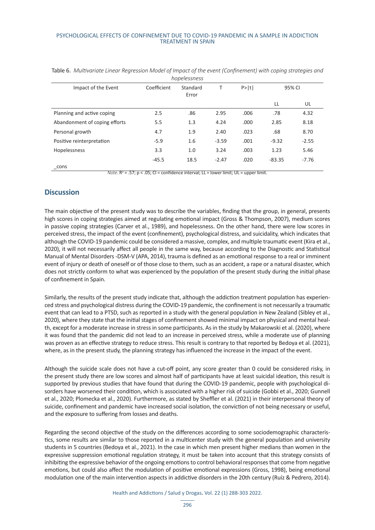|                               | <i><u>HUDEIESSHESS</u></i> |                   |         |      |          |         |  |  |
|-------------------------------|----------------------------|-------------------|---------|------|----------|---------|--|--|
| Impact of the Event           | Coefficient                | Standard<br>Error | Τ       | P> t | 95% CI   |         |  |  |
|                               |                            |                   |         |      | LL       | UL      |  |  |
| Planning and active coping    | 2.5                        | .86               | 2.95    | .006 | .78      | 4.32    |  |  |
| Abandonment of coping efforts | 5.5                        | 1.3               | 4.24    | .000 | 2.85     | 8.18    |  |  |
| Personal growth               | 4.7                        | 1.9               | 2.40    | .023 | .68      | 8.70    |  |  |
| Positive reinterpretation     | $-5.9$                     | 1.6               | $-3.59$ | .001 | $-9.32$  | $-2.55$ |  |  |
| Hopelessness                  | 3.3                        | 1.0               | 3.24    | .003 | 1.23     | 5.46    |  |  |
|                               | $-45.5$                    | 18.5              | $-2.47$ | .020 | $-83.35$ | $-7.76$ |  |  |
| cons                          |                            |                   |         |      |          |         |  |  |

Table 6. *Multivariate Linear Regression Model of Impact of the event (Confinement) with coping strategies and hopelessness* 

*Note*.  $R^2 = .57$ ;  $p < .05$ ; CI = confidence interval; LL = lower limit; UL = upper limit.

# **Discussion**

The main objective of the present study was to describe the variables, finding that the group, in general, presents high scores in coping strategies aimed at regulating emotional impact (Gross & Thompson, 2007), medium scores in passive coping strategies (Carver et al., 1989), and hopelessness. On the other hand, there were low scores in perceived stress, the impact of the event (confinement), psychological distress, and suicidality, which indicates that although the COVID-19 pandemic could be considered a massive, complex, and multiple traumatic event (Kira et al., 2020), it will not necessarily affect all people in the same way, because according to the Diagnostic and Statistical Manual of Mental Disorders -DSM-V (APA, 2014), trauma is defined as an emotional response to a real or imminent event of injury or death of oneself or of those close to them, such as an accident, a rape or a natural disaster, which does not strictly conform to what was experienced by the population of the present study during the initial phase of confinement in Spain.

Similarly, the results of the present study indicate that, although the addiction treatment population has experienced stress and psychological distress during the COVID-19 pandemic, the confinement is not necessarily a traumatic event that can lead to a PTSD, such as reported in a study with the general population in New Zealand (Sibley et al., 2020), where they state that the initial stages of confinement showed minimal impact on physical and mental health, except for a moderate increase in stress in some participants. As in the study by Makarowski et al. (2020), where it was found that the pandemic did not lead to an increase in perceived stress, while a moderate use of planning was proven as an effective strategy to reduce stress. This result is contrary to that reported by Bedoya et al. (2021), where, as in the present study, the planning strategy has influenced the increase in the impact of the event.

Although the suicide scale does not have a cut-off point, any score greater than 0 could be considered risky, in the present study there are low scores and almost half of participants have at least suicidal ideation, this result is supported by previous studies that have found that during the COVID-19 pandemic, people with psychological disorders have worsened their condition, which is associated with a higher risk of suicide (Gobbi et al., 2020; Gunnell et al., 2020; Plomecka et al., 2020). Furthermore, as stated by Sheffler et al. (2021) in their interpersonal theory of suicide, confinement and pandemic have increased social isolation, the conviction of not being necessary or useful, and the exposure to suffering from losses and deaths.

Regarding the second objective of the study on the differences according to some sociodemographic characteristics, some results are similar to those reported in a multicenter study with the general population and university students in 5 countries (Bedoya et al., 2021). In the case in which men present higher medians than women in the expressive suppression emotional regulation strategy, it must be taken into account that this strategy consists of inhibiting the expressive behavior of the ongoing emotions to control behavioral responses that come from negative emotions, but could also affect the modulation of positive emotional expressions (Gross, 1998), being emotional modulation one of the main intervention aspects in addictive disorders in the 20th century (Ruíz & Pedrero, 2014).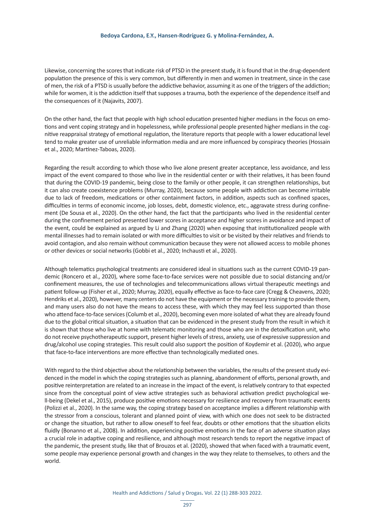Likewise, concerning the scores that indicate risk of PTSD in the present study, it is found that in the drug-dependent population the presence of this is very common, but differently in men and women in treatment, since in the case of men, the risk of a PTSD is usually before the addictive behavior, assuming it as one of the triggers of the addiction; while for women, it is the addiction itself that supposes a trauma, both the experience of the dependence itself and the consequences of it (Najavits, 2007).

On the other hand, the fact that people with high school education presented higher medians in the focus on emotions and vent coping strategy and in hopelessness, while professional people presented higher medians in the cognitive reappraisal strategy of emotional regulation, the literature reports that people with a lower educational level tend to make greater use of unreliable information media and are more influenced by conspiracy theories (Hossain et al., 2020; Martínez-Taboas, 2020).

Regarding the result according to which those who live alone present greater acceptance, less avoidance, and less impact of the event compared to those who live in the residential center or with their relatives, it has been found that during the COVID-19 pandemic, being close to the family or other people, it can strengthen relationships, but it can also create coexistence problems (Murray, 2020), because some people with addiction can become irritable due to lack of freedom, medications or other containment factors, in addition, aspects such as confined spaces, difficulties in terms of economic income, job losses, debt, domestic violence, etc., aggravate stress during confinement (De Sousa et al., 2020). On the other hand, the fact that the participants who lived in the residential center during the confinement period presented lower scores in acceptance and higher scores in avoidance and impact of the event, could be explained as argued by Li and Zhang (2020) when exposing that institutionalized people with mental illnesses had to remain isolated or with more difficulties to visit or be visited by their relatives and friends to avoid contagion, and also remain without communication because they were not allowed access to mobile phones or other devices or social networks (Gobbi et al., 2020; Inchausti et al., 2020).

Although telematics psychological treatments are considered ideal in situations such as the current COVID-19 pandemic (Roncero et al., 2020), where some face-to-face services were not possible due to social distancing and/or confinement measures, the use of technologies and telecommunications allows virtual therapeutic meetings and patient follow-up (Fisher et al., 2020; Murray, 2020), equally effective as face-to-face care (Cregg & Cheavens, 2020; Hendriks et al., 2020), however, many centers do not have the equipment or the necessary training to provide them, and many users also do not have the means to access these, with which they may feel less supported than those who attend face-to-face services (Columb et al., 2020), becoming even more isolated of what they are already found due to the global critical situation, a situation that can be evidenced in the present study from the result in which it is shown that those who live at home with telematic monitoring and those who are in the detoxification unit, who do not receive psychotherapeutic support, present higher levels of stress, anxiety, use of expressive suppression and drug/alcohol use coping strategies. This result could also support the position of Koydemir et al. (2020), who argue that face-to-face interventions are more effective than technologically mediated ones.

With regard to the third objective about the relationship between the variables, the results of the present study evidenced in the model in which the coping strategies such as planning, abandonment of efforts, personal growth, and positive reinterpretation are related to an increase in the impact of the event, is relatively contrary to that expected since from the conceptual point of view active strategies such as behavioral activation predict psychological well-being (Dekel et al., 2015), produce positive emotions necessary for resilience and recovery from traumatic events (Polizzi et al., 2020). In the same way, the coping strategy based on acceptance implies a different relationship with the stressor from a conscious, tolerant and planned point of view, with which one does not seek to be distracted or change the situation, but rather to allow oneself to feel fear, doubts or other emotions that the situation elicits fluidly (Bonanno et al., 2008). In addition, experiencing positive emotions in the face of an adverse situation plays a crucial role in adaptive coping and resilience, and although most research tends to report the negative impact of the pandemic, the present study, like that of Brouzos et al. (2020), showed that when faced with a traumatic event, some people may experience personal growth and changes in the way they relate to themselves, to others and the world.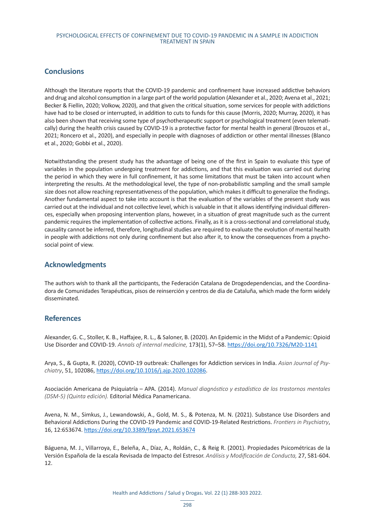# **Conclusions**

Although the literature reports that the COVID-19 pandemic and confinement have increased addictive behaviors and drug and alcohol consumption in a large part of the world population (Alexander et al., 2020; Avena et al., 2021; Becker & Fiellin, 2020; Volkow, 2020), and that given the critical situation, some services for people with addictions have had to be closed or interrupted, in addition to cuts to funds for this cause (Morris, 2020; Murray, 2020), it has also been shown that receiving some type of psychotherapeutic support or psychological treatment (even telematically) during the health crisis caused by COVID-19 is a protective factor for mental health in general (Brouzos et al., 2021; Roncero et al., 2020), and especially in people with diagnoses of addiction or other mental illnesses (Blanco et al., 2020; Gobbi et al., 2020).

Notwithstanding the present study has the advantage of being one of the first in Spain to evaluate this type of variables in the population undergoing treatment for addictions, and that this evaluation was carried out during the period in which they were in full confinement, it has some limitations that must be taken into account when interpreting the results. At the methodological level, the type of non-probabilistic sampling and the small sample size does not allow reaching representativeness of the population, which makes it difficult to generalize the findings. Another fundamental aspect to take into account is that the evaluation of the variables of the present study was carried out at the individual and not collective level, which is valuable in that it allows identifying individual differences, especially when proposing intervention plans, however, in a situation of great magnitude such as the current pandemic requires the implementation of collective actions. Finally, as it is a cross-sectional and correlational study, causality cannot be inferred, therefore, longitudinal studies are required to evaluate the evolution of mental health in people with addictions not only during confinement but also after it, to know the consequences from a psychosocial point of view.

# **Acknowledgments**

The authors wish to thank all the participants, the Federación Catalana de Drogodependencias, and the Coordinadora de Comunidades Terapéuticas, pisos de reinserción y centros de dia de Cataluña, which made the form widely disseminated.

# **References**

Alexander, G. C., Stoller, K. B., Haffajee, R. L., & Saloner, B. (2020). An Epidemic in the Midst of a Pandemic: Opioid Use Disorder and COVID-19. *Annals of internal medicine,* 173(1), 57–58. https://doi.org/10.7326/M20-1141

Arya, S., & Gupta, R. (2020), COVID-19 outbreak: Challenges for Addiction services in India. *Asian Journal of Psychiatry*, 51, 102086, https://doi.org/10.1016/j.ajp.2020.102086.

Asociación Americana de Psiquiatría – APA. (2014). *Manual diagnóstico y estadístico de los trastornos mentales (DSM-5) (Quinta edición).* Editorial Médica Panamericana.

Avena, N. M., Simkus, J., Lewandowski, A., Gold, M. S., & Potenza, M. N. (2021). Substance Use Disorders and Behavioral Addictions During the COVID-19 Pandemic and COVID-19-Related Restrictions. *Frontiers in Psychiatry*, 16, 12:653674. https://doi.org/10.3389/fpsyt.2021.653674

Báguena, M. J., Villarroya, E., Beleña, A., Díaz, A., Roldán, C., & Reig R. (2001). Propiedades Psicométricas de la Versión Española de la escala Revisada de Impacto del Estresor. *Análisis y Modificación de Conducta,* 27, 581-604. 12.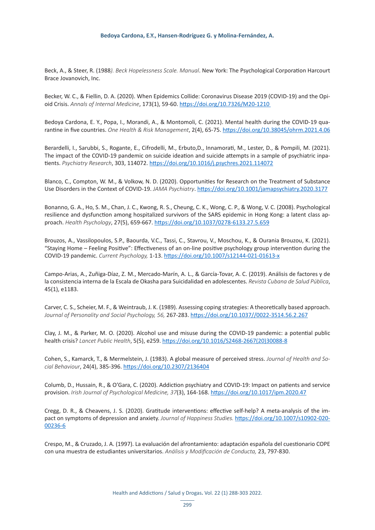Beck, A., & Steer, R. (1988*). Beck Hopelessness Scale. Manual*. New York: The Psychological Corporation Harcourt Brace Jovanovich, Inc.

Becker, W. C., & Fiellin, D. A. (2020). When Epidemics Collide: Coronavirus Disease 2019 (COVID-19) and the Opioid Crisis. *Annals of Internal Medicine*, 173(1), 59-60. https://doi.org/10.7326/M20-1210

Bedoya Cardona, E. Y., Popa, I., Morandi, A., & Montomoli, C. (2021). Mental health during the COVID-19 quarantine in five countries. *One Health & Risk Management*, 2(4), 65-75. https://doi.org/10.38045/ohrm.2021.4.06

Berardelli, I., Sarubbi, S., Rogante, E., Cifrodelli, M., Erbuto,D., Innamorati, M., Lester, D., & Pompili, M. (2021). The impact of the COVID-19 pandemic on suicide ideation and suicide attempts in a sample of psychiatric inpatients. *Psychiatry Research*, 303, 114072. https://doi.org/10.1016/j.psychres.2021.114072

Blanco, C., Compton, W. M., & Volkow, N. D. (2020). Opportunities for Research on the Treatment of Substance Use Disorders in the Context of COVID-19. *JAMA Psychiatry*. https://doi.org/10.1001/jamapsychiatry.2020.3177

Bonanno, G. A., Ho, S. M., Chan, J. C., Kwong, R. S., Cheung, C. K., Wong, C. P., & Wong, V. C. (2008). Psychological resilience and dysfunction among hospitalized survivors of the SARS epidemic in Hong Kong: a latent class approach. *Health Psychology*, 27(5), 659-667. https://doi.org/10.1037/0278-6133.27.5.659

Brouzos, A., Vassilopoulos, S.P., Baourda, V.C., Tassi, C., Stavrou, V., Moschou, K., & Ourania Brouzou, K. (2021). "Staying Home – Feeling Positive": Effectiveness of an on-line positive psychology group intervention during the COVID-19 pandemic. *Current Psychology,* 1-13. https://doi.org/10.1007/s12144-021-01613-x

Campo-Arias, A., Zuñiga-Díaz, Z. M., Mercado-Marín, A. L., & García-Tovar, A. C. (2019). Análisis de factores y de la consistencia interna de la Escala de Okasha para Suicidalidad en adolescentes. *Revista Cubana de Salud Pública*, 45(1), e1183.

Carver, C. S., Scheier, M. F., & Weintraub, J. K. (1989). Assessing coping strategies: A theoretically based approach. *Journal of Personality and Social Psychology, 56,* 267-283. https://doi.org/10.1037//0022-3514.56.2.267

Clay, J. M., & Parker, M. O. (2020). Alcohol use and misuse during the COVID-19 pandemic: a potential public health crisis? *Lancet Public Health*, 5(5), e259. https://doi.org/10.1016/S2468-2667(20)30088-8

Cohen, S., Kamarck, T., & Mermelstein, J. (1983). A global measure of perceived stress. *Journal of Health and Social Behaviour*, 24(4), 385-396. https://doi.org/10.2307/2136404

Columb, D., Hussain, R., & O'Gara, C. (2020). Addiction psychiatry and COVID-19: Impact on patients and service provision. *Irish Journal of Psychological Medicine, 37*(3), 164-168. https://doi.org/10.1017/ipm.2020.47

Cregg, D. R., & Cheavens, J. S. (2020). Gratitude interventions: effective self-help? A meta-analysis of the impact on symptoms of depression and anxiety. *Journal of Happiness Studies.* https://doi.org/10.1007/s10902-020- 00236-6

Crespo, M., & Cruzado, J. A. (1997). La evaluación del afrontamiento: adaptación española del cuestionario COPE con una muestra de estudiantes universitarios. *Análisis y Modificación de Conducta,* 23, 797-830.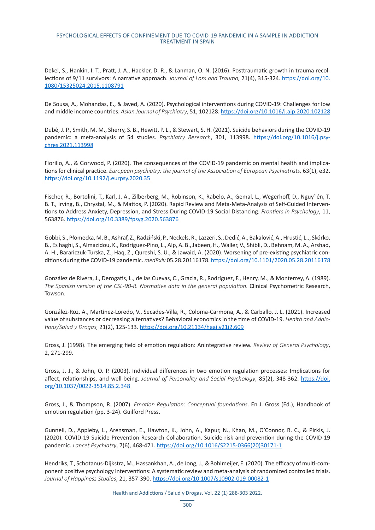Dekel, S., Hankin, I. T., Pratt, J. A., Hackler, D. R., & Lanman, O. N. (2016). Posttraumatic growth in trauma recollections of 9/11 survivors: A narrative approach. *Journal of Loss and Trauma,* 21(4), 315-324. https://doi.org/10. 1080/15325024.2015.1108791

De Sousa, A., Mohandas, E., & Javed, A. (2020). Psychological interventions during COVID-19: Challenges for low and middle income countries. *Asian Journal of Psychiatry*, 51, 102128. https://doi.org/10.1016/j.ajp.2020.102128

Dubè, J. P., Smith, M. M., Sherry, S. B., Hewitt, P. L., & Stewart, S. H. (2021). Suicide behaviors during the COVID-19 pandemic: a meta-analysis of 54 studies. *Psychiatry Research*, 301, 113998. https://doi.org/10.1016/j.psychres.2021.113998

Fiorillo, A., & Gorwood, P. (2020). The consequences of the COVID-19 pandemic on mental health and implications for clinical practice. *European psychiatry: the journal of the Association of European Psychiatrists,* 63(1), e32. https://doi.org/10.1192/j.eurpsy.2020.35

Fischer, R., Bortolini, T., Karl, J. A., Zilberberg, M., Robinson, K., Rabelo, A., Gemal, L., Wegerhoff, D., Nguy˜ên, T. B. T., Irving, B., Chrystal, M., & Mattos, P. (2020). Rapid Review and Meta-Meta-Analysis of Self-Guided Interventions to Address Anxiety, Depression, and Stress During COVID-19 Social Distancing. *Frontiers in Psychology*, 11, 563876. https://doi.org/10.3389/fpsyg.2020.563876

Gobbi, S., Płomecka, M. B., Ashraf, Z., Radziński, P., Neckels, R., Lazzeri, S., Dedić, A., Bakalović, A., Hrustić, L.., Skórko, B., Es haghi, S., Almazidou, K., Rodríguez-Pino, L., Alp, A. B., Jabeen, H., Waller, V., Shibli, D., Behnam, M. A., Arshad, A. H., Barańczuk-Turska, Z., Haq, Z., Qureshi, S. U., & Jawaid, A. (2020). Worsening of pre-existing psychiatric conditions during the COVID-19 pandemic. *medRxiv* 05.28.20116178. https://doi.org/10.1101/2020.05.28.20116178

González de Rivera, J., Derogatis, L., de las Cuevas, C., Gracia, R., Rodríguez, F., Henry, M., & Monterrey, A. (1989). *The Spanish version of the CSL-90-R. Normative data in the general population.* Clinical Psychometric Research, Towson.

González-Roz, A., Martínez-Loredo, V., Secades-Villa, R., Coloma-Carmona, A., & Carballo, J. L. (2021). Increased value of substances or decreasing alternatives? Behavioral economics in the time of COVID-19. *Health and Addictions/Salud y Drogas,* 21(2), 125-133. https://doi.org/10.21134/haaj.v21i2.609

Gross, J. (1998). The emerging field of emotion regulation: Anintegrative review. *Review of General Psychology*, 2, 271-299.

Gross, J. J., & John, O. P. (2003). Individual differences in two emotion regulation processes: Implications for affect, relationships, and well-being. *Journal of Personality and Social Psychology*, 85(2), 348-362. https://doi. org/10.1037/0022-3514.85.2.348

Gross, J., & Thompson, R. (2007). *Emotion Regulation: Conceptual foundations*. En J. Gross (Ed.), Handbook of emotion regulation (pp. 3-24). Guilford Press.

Gunnell, D., Appleby, L., Arensman, E., Hawton, K., John, A., Kapur, N., Khan, M., O'Connor, R. C., & Pirkis, J. (2020). COVID-19 Suicide Prevention Research Collaboration. Suicide risk and prevention during the COVID-19 pandemic. *Lancet Psychiatry*, 7(6), 468-471. https://doi.org/10.1016/S2215-0366(20)30171-1

Hendriks, T., Schotanus-Dijkstra, M., Hassankhan, A., de Jong, J., & Bohlmeijer, E. (2020). The efficacy of multi-component positive psychology interventions: A systematic review and meta-analysis of randomized controlled trials. *Journal of Happiness Studies*, 21, 357-390. https://doi.org/10.1007/s10902-019-00082-1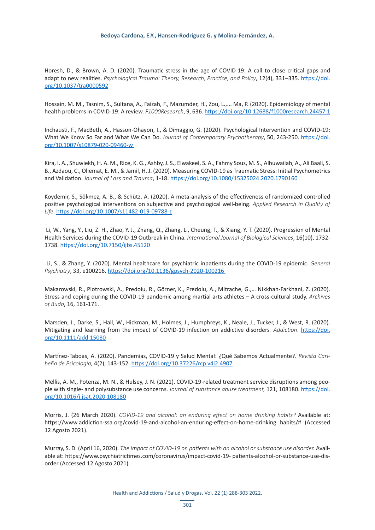Horesh, D., & Brown, A. D. (2020). Traumatic stress in the age of COVID-19: A call to close critical gaps and adapt to new realities. *Psychological Trauma: Theory, Research, Practice, and Policy*, 12(4), 331–335. https://doi. org/10.1037/tra0000592

Hossain, M. M., Tasnim, S., Sultana, A., Faizah, F., Mazumder, H., Zou, L.,... Ma, P. (2020). Epidemiology of mental health problems in COVID-19: A review. *F1000Research*, 9, 636. https://doi.org/10.12688/f1000research.24457.1

Inchausti, F., MacBeth, A., Hasson-Ohayon, I., & Dimaggio, G. (2020). Psychological Intervention and COVID-19: What We Know So Far and What We Can Do. *Journal of Contemporary Psychotherapy*, 50, 243-250. https://doi. org/10.1007/s10879-020-09460-w

Kira, I. A., Shuwiekh, H. A. M., Rice, K. G., Ashby, J. S., Elwakeel, S. A., Fahmy Sous, M. S., Alhuwailah, A., Ali Baali, S. B., Azdaou, C., Oliemat, E. M., & Jamil, H. J. (2020). Measuring COVID-19 as Traumatic Stress: Initial Psychometrics and Validation. *Journal of Loss and Trauma*, 1-18. https://doi.org/10.1080/15325024.2020.1790160

Koydemir, S., Sökmez, A. B., & Schütz, A. (2020). A meta-analysis of the effectiveness of randomized controlled positive psychological interventions on subjective and psychological well-being. *Applied Research in Quality of Life*. https://doi.org/10.1007/s11482-019-09788-z

 Li, W., Yang, Y., Liu, Z. H., Zhao, Y. J., Zhang, Q., Zhang, L., Cheung, T., & Xiang, Y. T. (2020). Progression of Mental Health Services during the COVID-19 Outbreak in China. *International Journal of Biological Sciences*, 16(10), 1732- 1738. https://doi.org/10.7150/ijbs.45120

 Li, S., & Zhang, Y. (2020). Mental healthcare for psychiatric inpatients during the COVID-19 epidemic. *General Psychiatry*, 33, e100216. https://doi.org/10.1136/gpsych-2020-100216

Makarowski, R., Piotrowski, A., Predoiu, R., Görner, K., Predoiu, A., Mitrache, G.,… Nikkhah-Farkhani, Z. (2020). Stress and coping during the COVID-19 pandemic among martial arts athletes – A cross-cultural study. *Archives of Budo*, 16, 161-171.

Marsden, J., Darke, S., Hall, W., Hickman, M., Holmes, J., Humphreys, K., Neale, J., Tucker, J., & West, R. (2020). Mitigating and learning from the impact of COVID‐19 infection on addictive disorders*. Addiction*. https://doi. org/10.1111/add.15080

Martínez-Taboas, A. (2020). Pandemias, COVID-19 y Salud Mental: ¿Qué Sabemos Actualmente?. *Revista Caribeña de Psicología,* 4(2), 143-152. https://doi.org/10.37226/rcp.v4i2.4907

Mellis, A. M., Potenza, M. N., & Hulsey, J. N. (2021). COVID-19-related treatment service disruptions among people with single- and polysubstance use concerns. *Journal of substance abuse treatment,* 121, 108180. https://doi. org/10.1016/j.jsat.2020.108180

Morris, J. (26 March 2020). *COVID-19 and alcohol: an enduring effect on home drinking habits?* Available at: https://www.addiction-ssa.org/covid-19-and-alcohol-an-enduring-effect-on-home-drinking habits/# (Accessed 12 Agosto 2021).

Murray, S. D. (April 16, 2020). *The impact of COVID-19 on patients with an alcohol or substance use disorder.* Available at: https://www.psychiatrictimes.com/coronavirus/impact-covid-19- patients-alcohol-or-substance-use-disorder (Accessed 12 Agosto 2021).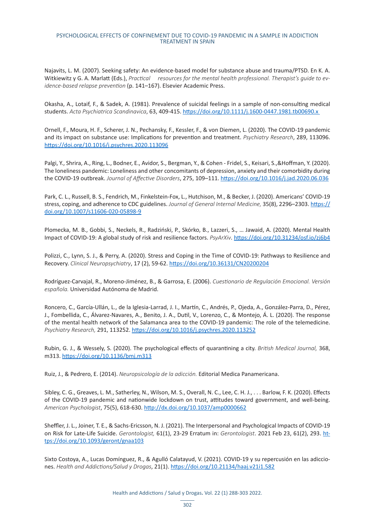Najavits, L. M. (2007). Seeking safety: An evidence-based model for substance abuse and trauma/PTSD. En K. A. Witkiewitz y G. A. Marlatt (Eds.), *Practical resources for the mental health professional. Therapist's guide to evidence-based relapse prevention* (p. 141–167). Elsevier Academic Press.

Okasha, A., Lotaif, F., & Sadek, A. (1981). Prevalence of suicidal feelings in a sample of non-consulting medical students. *Acta Psychiatrica Scandinavica*, 63, 409-415. https://doi.org/10.1111/j.1600-0447.1981.tb00690.x

Ornell, F., Moura, H. F., Scherer, J. N., Pechansky, F., Kessler, F., & von Diemen, L. (2020). The COVID-19 pandemic and its impact on substance use: Implications for prevention and treatment. *Psychiatry Research*, 289, 113096. https://doi.org/10.1016/j.psychres.2020.113096

Palgi, Y., Shrira, A., Ring, L., Bodner, E., Avidor, S., Bergman, Y., & Cohen - Fridel, S., Keisari, S.,&Hoffman, Y. (2020). The loneliness pandemic: Loneliness and other concomitants of depression, anxiety and their comorbidity during the COVID-19 outbreak. *Journal of Affective Disorders*, 275, 109–111. https://doi.org/10.1016/j.jad.2020.06.036

Park, C. L., Russell, B. S., Fendrich, M., Finkelstein-Fox, L., Hutchison, M., & Becker, J. (2020). Americans' COVID-19 stress, coping, and adherence to CDC guidelines. *Journal of General Internal Medicine,* 35(8), 2296–2303. https:// doi.org/10.1007/s11606-020-05898-9

Plomecka, M. B., Gobbi, S., Neckels, R., Radziński, P., Skórko, B., Lazzeri, S., … Jawaid, A. (2020). Mental Health Impact of COVID-19: A global study of risk and resilience factors. *PsyArXiv*. https://doi.org/10.31234/osf.io/zj6b4

Polizzi, C., Lynn, S. J., & Perry, A. (2020). Stress and Coping in the Time of COVID-19: Pathways to Resilience and Recovery. *Clinical Neuropsychiatry*, 17 (2), 59-62. https://doi.org/10.36131/CN20200204

Rodríguez-Carvajal, R., Moreno-Jiménez, B., & Garrosa, E. (2006). *Cuestionario de Regulación Emocional. Versión española.* Universidad Autónoma de Madrid.

Roncero, C., García-Ullán, L., de la Iglesia-Larrad, J. I., Martín, C., Andrés, P., Ojeda, A., González-Parra, D., Pérez, J., Fombellida, C., Álvarez-Navares, A., Benito, J. A., Dutil, V., Lorenzo, C., & Montejo, Á. L. (2020). The response of the mental health network of the Salamanca area to the COVID-19 pandemic: The role of the telemedicine. *Psychiatry Research,* 291, 113252. https://doi.org/10.1016/j.psychres.2020.113252

Rubin, G. J., & Wessely, S. (2020). The psychological effects of quarantining a city. *British Medical Journal,* 368, m313. https://doi.org/10.1136/bmj.m313

Ruiz, J., & Pedrero, E. (2014). *Neuropsicología de la adicción.* Editorial Medica Panamericana.

Sibley, C. G., Greaves, L. M., Satherley, N., Wilson, M. S., Overall, N. C., Lee, C. H. J., . . . Barlow, F. K. (2020). Effects of the COVID-19 pandemic and nationwide lockdown on trust, attitudes toward government, and well-being. *American Psychologist*, 75(5), 618-630. http://dx.doi.org/10.1037/amp0000662

Sheffler, J. L., Joiner, T. E., & Sachs-Ericsson, N. J. (2021). The Interpersonal and Psychological Impacts of COVID-19 on Risk for Late-Life Suicide. *Gerontologist,* 61(1), 23-29 Erratum in: *Gerontologist*. 2021 Feb 23, 61(2), 293. https://doi.org/10.1093/geront/gnaa103

Sixto Costoya, A., Lucas Domínguez, R., & Agulló Calatayud, V. (2021). COVID-19 y su repercusión en las adicciones. *Health and Addictions/Salud y Drogas*, 21(1). https://doi.org/10.21134/haaj.v21i1.582